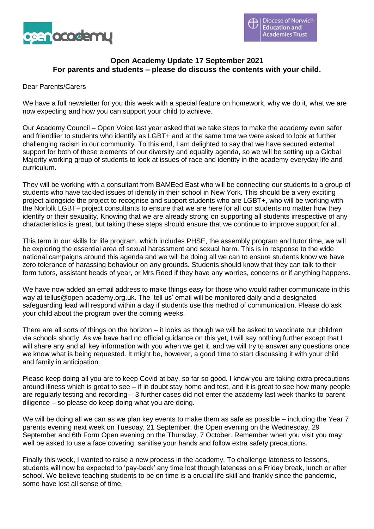

# **Open Academy Update 17 September 2021 For parents and students – please do discuss the contents with your child.**

#### Dear Parents/Carers

We have a full newsletter for you this week with a special feature on homework, why we do it, what we are now expecting and how you can support your child to achieve.

Our Academy Council – Open Voice last year asked that we take steps to make the academy even safer and friendlier to students who identify as LGBT+ and at the same time we were asked to look at further challenging racism in our community. To this end, I am delighted to say that we have secured external support for both of these elements of our diversity and equality agenda, so we will be setting up a Global Majority working group of students to look at issues of race and identity in the academy everyday life and curriculum.

They will be working with a consultant from BAMEed East who will be connecting our students to a group of students who have tackled issues of identity in their school in New York. This should be a very exciting project alongside the project to recognise and support students who are LGBT+, who will be working with the Norfolk LGBT+ project consultants to ensure that we are here for all our students no matter how they identify or their sexuality. Knowing that we are already strong on supporting all students irrespective of any characteristics is great, but taking these steps should ensure that we continue to improve support for all.

This term in our skills for life program, which includes PHSE, the assembly program and tutor time, we will be exploring the essential area of sexual harassment and sexual harm. This is in response to the wide national campaigns around this agenda and we will be doing all we can to ensure students know we have zero tolerance of harassing behaviour on any grounds. Students should know that they can talk to their form tutors, assistant heads of year, or Mrs Reed if they have any worries, concerns or if anything happens.

We have now added an email address to make things easy for those who would rather communicate in this way at tellus@open-academy.org.uk. The 'tell us' email will be monitored daily and a designated safeguarding lead will respond within a day if students use this method of communication. Please do ask your child about the program over the coming weeks.

There are all sorts of things on the horizon – it looks as though we will be asked to vaccinate our children via schools shortly. As we have had no official guidance on this yet, I will say nothing further except that I will share any and all key information with you when we get it, and we will try to answer any questions once we know what is being requested. It might be, however, a good time to start discussing it with your child and family in anticipation.

Please keep doing all you are to keep Covid at bay, so far so good. I know you are taking extra precautions around illness which is great to see – if in doubt stay home and test, and it is great to see how many people are regularly testing and recording – 3 further cases did not enter the academy last week thanks to parent diligence – so please do keep doing what you are doing.

We will be doing all we can as we plan key events to make them as safe as possible – including the Year 7 parents evening next week on Tuesday, 21 September, the Open evening on the Wednesday, 29 September and 6th Form Open evening on the Thursday, 7 October. Remember when you visit you may well be asked to use a face covering, sanitise your hands and follow extra safety precautions.

Finally this week, I wanted to raise a new process in the academy. To challenge lateness to lessons, students will now be expected to 'pay-back' any time lost though lateness on a Friday break, lunch or after school. We believe teaching students to be on time is a crucial life skill and frankly since the pandemic, some have lost all sense of time.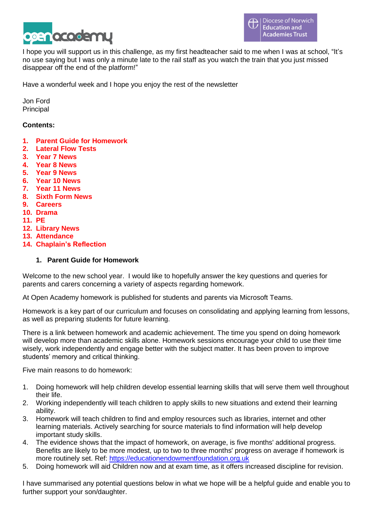

I hope you will support us in this challenge, as my first headteacher said to me when I was at school, "It's no use saying but I was only a minute late to the rail staff as you watch the train that you just missed disappear off the end of the platform!"

Have a wonderful week and I hope you enjoy the rest of the newsletter

Jon Ford **Principal** 

## **Contents:**

- **1. Parent Guide for Homework**
- **2. Lateral Flow Tests**
- **3. Year 7 News**
- **4. Year 8 News**
- **5. Year 9 News**
- **6. Year 10 News**
- **7. Year 11 News**
- **8. Sixth Form News**
- **9. Careers**
- **10. Drama**
- **11. PE**
- **12. Library News**
- **13. Attendance**
- **14. Chaplain's Reflection**

#### **1. Parent Guide for Homework**

Welcome to the new school year. I would like to hopefully answer the key questions and queries for parents and carers concerning a variety of aspects regarding homework.

At Open Academy homework is published for students and parents via Microsoft Teams.

Homework is a key part of our curriculum and focuses on consolidating and applying learning from lessons, as well as preparing students for future learning.

There is a link between homework and academic achievement. The time you spend on doing homework will develop more than academic skills alone. Homework sessions encourage your child to use their time wisely, work independently and engage better with the subject matter. It has been proven to improve students' memory and critical thinking.

Five main reasons to do homework:

- 1. Doing homework will help children develop essential learning skills that will serve them well throughout their life.
- 2. Working independently will teach children to apply skills to new situations and extend their learning ability.
- 3. Homework will teach children to find and employ resources such as libraries, internet and other learning materials. Actively searching for source materials to find information will help develop important study skills.
- 4. The evidence shows that the impact of homework, on average, is five months' additional progress. Benefits are likely to be more modest, up to two to three months' progress on average if homework is more routinely set. Ref: [https://educationendowmentfoundation.org.uk](https://educationendowmentfoundation.org.uk/)
- 5. Doing homework will aid Children now and at exam time, as it offers increased discipline for revision.

I have summarised any potential questions below in what we hope will be a helpful guide and enable you to further support your son/daughter.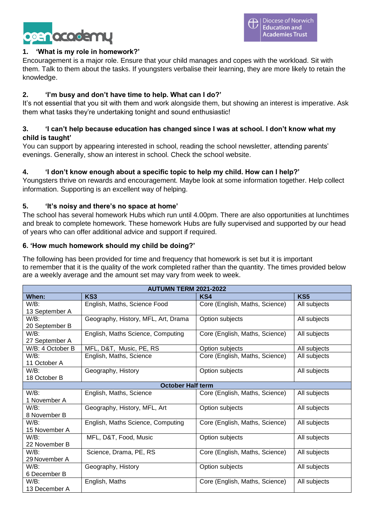

# **1. 'What is my role in homework?'**

Encouragement is a major role. Ensure that your child manages and copes with the workload. Sit with them. Talk to them about the tasks. If youngsters verbalise their learning, they are more likely to retain the knowledge.

# **2. 'I'm busy and don't have time to help. What can I do?'**

It's not essential that you sit with them and work alongside them, but showing an interest is imperative. Ask them what tasks they're undertaking tonight and sound enthusiastic!

# **3. 'I can't help because education has changed since I was at school. I don't know what my child is taught'**

You can support by appearing interested in school, reading the school newsletter, attending parents' evenings. Generally, show an interest in school. Check the school website.

# **4. 'I don't know enough about a specific topic to help my child. How can I help?'**

Youngsters thrive on rewards and encouragement. Maybe look at some information together. Help collect information. Supporting is an excellent way of helping.

# **5. 'It's noisy and there's no space at home'**

The school has several homework Hubs which run until 4.00pm. There are also opportunities at lunchtimes and break to complete homework. These homework Hubs are fully supervised and supported by our head of years who can offer additional advice and support if required.

# **6. 'How much homework should my child be doing?'**

The following has been provided for time and frequency that homework is set but it is important to remember that it is the quality of the work completed rather than the quantity. The times provided below are a weekly average and the amount set may vary from week to week.

| <b>AUTUMN TERM 2021-2022</b> |                                     |                                |                 |  |
|------------------------------|-------------------------------------|--------------------------------|-----------------|--|
| When:                        | KS <sub>3</sub>                     | KS4                            | KS <sub>5</sub> |  |
| $W/B$ :                      | English, Maths, Science Food        | Core (English, Maths, Science) | All subjects    |  |
| 13 September A               |                                     |                                |                 |  |
| $W/B$ :                      | Geography, History, MFL, Art, Drama | Option subjects                | All subjects    |  |
| 20 September B               |                                     |                                |                 |  |
| $W/B$ :                      | English, Maths Science, Computing   | Core (English, Maths, Science) | All subjects    |  |
| 27 September A               |                                     |                                |                 |  |
| W/B: 4 October B             | MFL, D&T, Music, PE, RS             | Option subjects                | All subjects    |  |
| $W/B$ :                      | English, Maths, Science             | Core (English, Maths, Science) | All subjects    |  |
| 11 October A                 |                                     |                                |                 |  |
| $W/B$ :                      | Geography, History                  | Option subjects                | All subjects    |  |
| 18 October B                 |                                     |                                |                 |  |
| <b>October Half term</b>     |                                     |                                |                 |  |
| $W/B$ :                      | English, Maths, Science             | Core (English, Maths, Science) | All subjects    |  |
| 1 November A                 |                                     |                                |                 |  |
| $W/B$ :                      | Geography, History, MFL, Art        | Option subjects                | All subjects    |  |
| 8 November B                 |                                     |                                |                 |  |
| $W/B$ :                      | English, Maths Science, Computing   | Core (English, Maths, Science) | All subjects    |  |
| 15 November A                |                                     |                                |                 |  |
| $W/B$ :                      | MFL, D&T, Food, Music               | Option subjects                | All subjects    |  |
| 22 November B                |                                     |                                |                 |  |
| $W/B$ :                      | Science, Drama, PE, RS              | Core (English, Maths, Science) | All subjects    |  |
| 29 November A                |                                     |                                |                 |  |
| $W/B$ :                      | Geography, History                  | Option subjects                | All subjects    |  |
| 6 December B                 |                                     |                                |                 |  |
| $W/B$ :                      | English, Maths                      | Core (English, Maths, Science) | All subjects    |  |
| 13 December A                |                                     |                                |                 |  |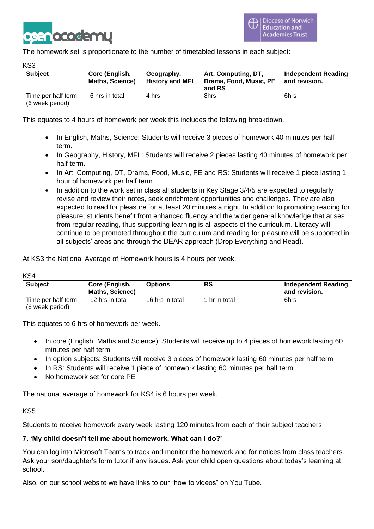

The homework set is proportionate to the number of timetabled lessons in each subject:

KS3

| <b>Subject</b>                        | Core (English,<br><b>Maths, Science)</b> | Geography,<br><b>History and MFL</b> | Art, Computing, DT,<br>Drama, Food, Music, PE<br>and RS | <b>Independent Reading</b><br>and revision. |
|---------------------------------------|------------------------------------------|--------------------------------------|---------------------------------------------------------|---------------------------------------------|
| Time per half term<br>(6 week period) | 6 hrs in total                           | 4 hrs                                | 8hrs                                                    | 6hrs                                        |

This equates to 4 hours of homework per week this includes the following breakdown.

- In English, Maths, Science: Students will receive 3 pieces of homework 40 minutes per half term.
- In Geography, History, MFL: Students will receive 2 pieces lasting 40 minutes of homework per half term.
- In Art, Computing, DT, Drama, Food, Music, PE and RS: Students will receive 1 piece lasting 1 hour of homework per half term.
- In addition to the work set in class all students in Key Stage 3/4/5 are expected to regularly revise and review their notes, seek enrichment opportunities and challenges. They are also expected to read for pleasure for at least 20 minutes a night. In addition to promoting reading for pleasure, students benefit from enhanced fluency and the wider general knowledge that arises from regular reading, thus supporting learning is all aspects of the curriculum. Literacy will continue to be promoted throughout the curriculum and reading for pleasure will be supported in all subjects' areas and through the DEAR approach (Drop Everything and Read).

At KS3 the National Average of Homework hours is 4 hours per week.

KS4

| <b>Subject</b>                        | Core (English,<br><b>Maths, Science)</b> | <b>Options</b>  | <b>RS</b>     | Independent Reading<br>and revision. |
|---------------------------------------|------------------------------------------|-----------------|---------------|--------------------------------------|
| Time per half term<br>(6 week period) | 12 hrs in total                          | 16 hrs in total | 1 hr in total | 6hrs                                 |

This equates to 6 hrs of homework per week.

- In core (English, Maths and Science): Students will receive up to 4 pieces of homework lasting 60 minutes per half term
- In option subjects: Students will receive 3 pieces of homework lasting 60 minutes per half term
- In RS: Students will receive 1 piece of homework lasting 60 minutes per half term
- No homework set for core PE

The national average of homework for KS4 is 6 hours per week.

### KS5

Students to receive homework every week lasting 120 minutes from each of their subject teachers

### **7. 'My child doesn't tell me about homework. What can I do?'**

You can log into Microsoft Teams to track and monitor the homework and for notices from class teachers. Ask your son/daughter's form tutor if any issues. Ask your child open questions about today's learning at school.

Also, on our school website we have links to our "how to videos" on You Tube.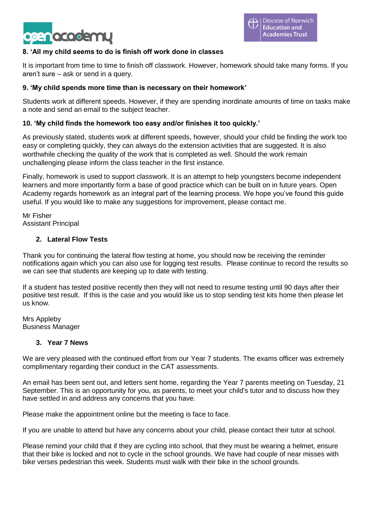

# **8. 'All my child seems to do is finish off work done in classes**

It is important from time to time to finish off classwork. However, homework should take many forms. If you aren't sure – ask or send in a query.

## **9. 'My child spends more time than is necessary on their homework'**

Students work at different speeds. However, if they are spending inordinate amounts of time on tasks make a note and send an email to the subject teacher.

# **10. 'My child finds the homework too easy and/or finishes it too quickly.'**

As previously stated, students work at different speeds, however, should your child be finding the work too easy or completing quickly, they can always do the extension activities that are suggested. It is also worthwhile checking the quality of the work that is completed as well. Should the work remain unchallenging please inform the class teacher in the first instance.

Finally, homework is used to support classwork. It is an attempt to help youngsters become independent learners and more importantly form a base of good practice which can be built on in future years. Open Academy regards homework as an integral part of the learning process. We hope you've found this guide useful. If you would like to make any suggestions for improvement, please contact me.

Mr Fisher Assistant Principal

### **2. Lateral Flow Tests**

Thank you for continuing the lateral flow testing at home, you should now be receiving the reminder notifications again which you can also use for logging test results. Please continue to record the results so we can see that students are keeping up to date with testing.

If a student has tested positive recently then they will not need to resume testing until 90 days after their positive test result. If this is the case and you would like us to stop sending test kits home then please let us know.

Mrs Appleby Business Manager

### **3. Year 7 News**

We are very pleased with the continued effort from our Year 7 students. The exams officer was extremely complimentary regarding their conduct in the CAT assessments.

An email has been sent out, and letters sent home, regarding the Year 7 parents meeting on Tuesday, 21 September. This is an opportunity for you, as parents, to meet your child's tutor and to discuss how they have settled in and address any concerns that you have.

Please make the appointment online but the meeting is face to face.

If you are unable to attend but have any concerns about your child, please contact their tutor at school.

Please remind your child that if they are cycling into school, that they must be wearing a helmet, ensure that their bike is locked and not to cycle in the school grounds. We have had couple of near misses with bike verses pedestrian this week. Students must walk with their bike in the school grounds.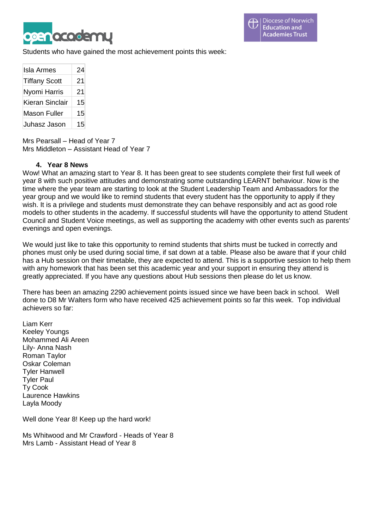

Students who have gained the most achievement points this week:

| <b>Isla Armes</b>    | 24 |
|----------------------|----|
| <b>Tiffany Scott</b> | 21 |
| Nyomi Harris         | 21 |
| Kieran Sinclair      | 15 |
| <b>Mason Fuller</b>  | 15 |
| Juhasz Jason         | 15 |

Mrs Pearsall – Head of Year 7 Mrs Middleton – Assistant Head of Year 7

#### **4. Year 8 News**

Wow! What an amazing start to Year 8. It has been great to see students complete their first full week of year 8 with such positive attitudes and demonstrating some outstanding LEARNT behaviour. Now is the time where the year team are starting to look at the Student Leadership Team and Ambassadors for the year group and we would like to remind students that every student has the opportunity to apply if they wish. It is a privilege and students must demonstrate they can behave responsibly and act as good role models to other students in the academy. If successful students will have the opportunity to attend Student Council and Student Voice meetings, as well as supporting the academy with other events such as parents' evenings and open evenings.

We would just like to take this opportunity to remind students that shirts must be tucked in correctly and phones must only be used during social time, if sat down at a table. Please also be aware that if your child has a Hub session on their timetable, they are expected to attend. This is a supportive session to help them with any homework that has been set this academic year and your support in ensuring they attend is greatly appreciated. If you have any questions about Hub sessions then please do let us know.

There has been an amazing 2290 achievement points issued since we have been back in school. Well done to D8 Mr Walters form who have received 425 achievement points so far this week. Top individual achievers so far:

Liam Kerr Keeley Youngs Mohammed Ali Areen Lily- Anna Nash Roman Taylor Oskar Coleman Tyler Hanwell Tyler Paul Ty Cook Laurence Hawkins Layla Moody

Well done Year 8! Keep up the hard work!

Ms Whitwood and Mr Crawford - Heads of Year 8 Mrs Lamb - Assistant Head of Year 8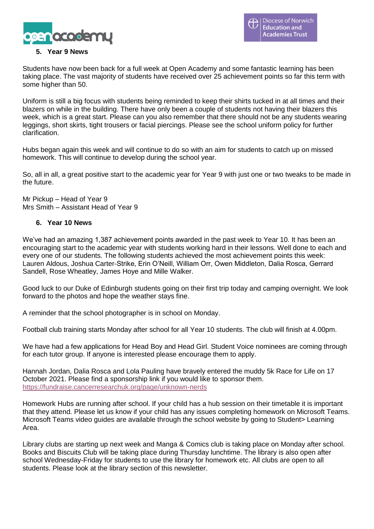

# **5. Year 9 News**

Students have now been back for a full week at Open Academy and some fantastic learning has been taking place. The vast majority of students have received over 25 achievement points so far this term with some higher than 50.

Uniform is still a big focus with students being reminded to keep their shirts tucked in at all times and their blazers on while in the building. There have only been a couple of students not having their blazers this week, which is a great start. Please can you also remember that there should not be any students wearing leggings, short skirts, tight trousers or facial piercings. Please see the school uniform policy for further clarification.

Hubs began again this week and will continue to do so with an aim for students to catch up on missed homework. This will continue to develop during the school year.

So, all in all, a great positive start to the academic year for Year 9 with just one or two tweaks to be made in the future.

Mr Pickup – Head of Year 9 Mrs Smith – Assistant Head of Year 9

### **6. Year 10 News**

We've had an amazing 1,387 achievement points awarded in the past week to Year 10. It has been an encouraging start to the academic year with students working hard in their lessons. Well done to each and every one of our students. The following students achieved the most achievement points this week: Lauren Aldous, Joshua Carter-Strike, Erin O'Neill, William Orr, Owen Middleton, Dalia Rosca, Gerrard Sandell, Rose Wheatley, James Hoye and Mille Walker.

Good luck to our Duke of Edinburgh students going on their first trip today and camping overnight. We look forward to the photos and hope the weather stays fine.

A reminder that the school photographer is in school on Monday.

Football club training starts Monday after school for all Year 10 students. The club will finish at 4.00pm.

We have had a few applications for Head Boy and Head Girl. Student Voice nominees are coming through for each tutor group. If anyone is interested please encourage them to apply.

Hannah Jordan, Dalia Rosca and Lola Pauling have bravely entered the muddy 5k Race for Life on 17 October 2021. Please find a sponsorship link if you would like to sponsor them. <https://fundraise.cancerresearchuk.org/page/unknown-nerds>

Homework Hubs are running after school. If your child has a hub session on their timetable it is important that they attend. Please let us know if your child has any issues completing homework on Microsoft Teams. Microsoft Teams video guides are available through the school website by going to Student> Learning Area.

Library clubs are starting up next week and Manga & Comics club is taking place on Monday after school. Books and Biscuits Club will be taking place during Thursday lunchtime. The library is also open after school Wednesday-Friday for students to use the library for homework etc. All clubs are open to all students. Please look at the library section of this newsletter.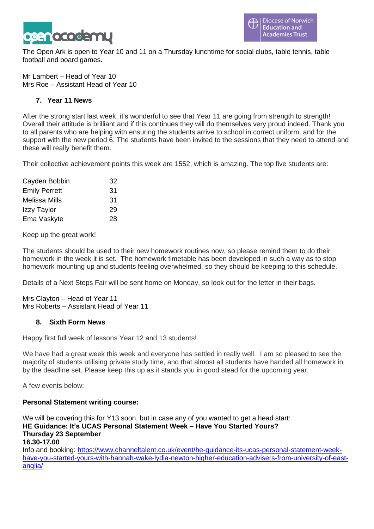

The Open Ark is open to Year 10 and 11 on a Thursday lunchtime for social clubs, table tennis, table football and board games.

Mr Lambert – Head of Year 10 Mrs Roe – Assistant Head of Year 10

# **7. Year 11 News**

After the strong start last week, it's wonderful to see that Year 11 are going from strength to strength! Overall their attitude is brilliant and if this continues they will do themselves very proud indeed. Thank you to all parents who are helping with ensuring the students arrive to school in correct uniform, and for the support with the new period 6. The students have been invited to the sessions that they need to attend and these will really benefit them.

Their collective achievement points this week are 1552, which is amazing. The top five students are:

| 32 |
|----|
| 31 |
| 31 |
| 29 |
| 28 |
|    |

Keep up the great work!

The students should be used to their new homework routines now, so please remind them to do their homework in the week it is set. The homework timetable has been developed in such a way as to stop homework mounting up and students feeling overwhelmed, so they should be keeping to this schedule.

Details of a Next Steps Fair will be sent home on Monday, so look out for the letter in their bags.

Mrs Clayton – Head of Year 11 Mrs Roberts – Assistant Head of Year 11

### **8. Sixth Form News**

Happy first full week of lessons Year 12 and 13 students!

We have had a great week this week and everyone has settled in really well. I am so pleased to see the majority of students utilising private study time, and that almost all students have handed all homework in by the deadline set. Please keep this up as it stands you in good stead for the upcoming year.

A few events below:

### **Personal Statement writing course:**

We will be covering this for Y13 soon, but in case any of you wanted to get a head start: **HE Guidance: It's UCAS Personal Statement Week – Have You Started Yours? Thursday 23 September 16.30-17.00** Info and booking: [https://www.channeltalent.co.uk/event/he-guidance-its-ucas-personal-statement-week](https://www.channeltalent.co.uk/event/he-guidance-its-ucas-personal-statement-week-have-you-started-yours-with-hannah-wake-lydia-newton-higher-education-advisers-from-university-of-east-anglia/)[have-you-started-yours-with-hannah-wake-lydia-newton-higher-education-advisers-from-university-of-east](https://www.channeltalent.co.uk/event/he-guidance-its-ucas-personal-statement-week-have-you-started-yours-with-hannah-wake-lydia-newton-higher-education-advisers-from-university-of-east-anglia/)[anglia/](https://www.channeltalent.co.uk/event/he-guidance-its-ucas-personal-statement-week-have-you-started-yours-with-hannah-wake-lydia-newton-higher-education-advisers-from-university-of-east-anglia/)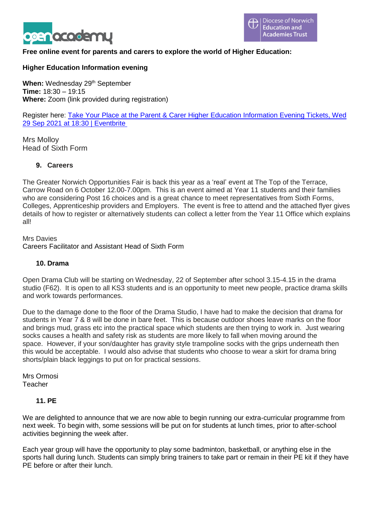

# **Free online event for parents and carers to explore the world of Higher Education:**

## **Higher Education Information evening**

**When:** Wednesday 29<sup>th</sup> September **Time:** 18:30 – 19:15 **Where:** Zoom (link provided during registration)

Register here: Take Your Place at the Parent & Carer Higher Education [Information](https://www.eventbrite.co.uk/e/take-your-place-at-the-parent-carer-higher-education-information-evening-tickets-167857045943) Evening Tickets, Wed 29 Sep 2021 at 18:30 | [Eventbrite](https://www.eventbrite.co.uk/e/take-your-place-at-the-parent-carer-higher-education-information-evening-tickets-167857045943)

Mrs Molloy Head of Sixth Form

#### **9. Careers**

The Greater Norwich Opportunities Fair is back this year as a 'real' event at The Top of the Terrace, Carrow Road on 6 October 12.00-7.00pm. This is an event aimed at Year 11 students and their families who are considering Post 16 choices and is a great chance to meet representatives from Sixth Forms, Colleges, Apprenticeship providers and Employers. The event is free to attend and the attached flyer gives details of how to register or alternatively students can collect a letter from the Year 11 Office which explains all!

Mrs Davies Careers Facilitator and Assistant Head of Sixth Form

#### **10. Drama**

Open Drama Club will be starting on Wednesday, 22 of September after school 3.15-4.15 in the drama studio (F62). It is open to all KS3 students and is an opportunity to meet new people, practice drama skills and work towards performances.

Due to the damage done to the floor of the Drama Studio, I have had to make the decision that drama for students in Year 7 & 8 will be done in bare feet. This is because outdoor shoes leave marks on the floor and brings mud, grass etc into the practical space which students are then trying to work in. Just wearing socks causes a health and safety risk as students are more likely to fall when moving around the space. However, if your son/daughter has gravity style trampoline socks with the grips underneath then this would be acceptable. I would also advise that students who choose to wear a skirt for drama bring shorts/plain black leggings to put on for practical sessions.

Mrs Ormosi Teacher

### **11. PE**

We are delighted to announce that we are now able to begin running our extra-curricular programme from next week. To begin with, some sessions will be put on for students at lunch times, prior to after-school activities beginning the week after.

Each year group will have the opportunity to play some badminton, basketball, or anything else in the sports hall during lunch. Students can simply bring trainers to take part or remain in their PE kit if they have PE before or after their lunch.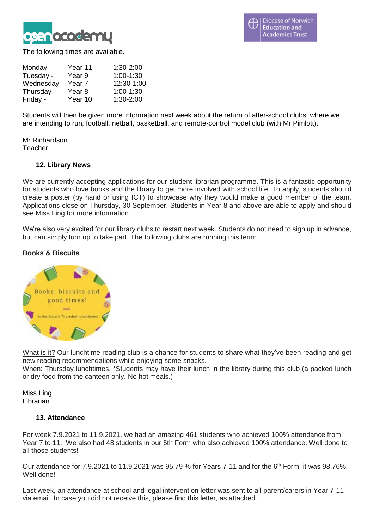

The following times are available.

| Monday -    | Year 11           | 1:30-2:00   |
|-------------|-------------------|-------------|
| Tuesday -   | Year 9            | $1:00-1:30$ |
| Wednesday - | Year <sub>7</sub> | 12:30-1:00  |
| Thursday -  | Year 8            | $1:00-1:30$ |
| Friday -    | Year 10           | 1:30-2:00   |

Students will then be given more information next week about the return of after-school clubs, where we are intending to run, football, netball, basketball, and remote-control model club (with Mr Pimlott).

Mr Richardson Teacher

### **12. Library News**

We are currently accepting applications for our student librarian programme. This is a fantastic opportunity for students who love books and the library to get more involved with school life. To apply, students should create a poster (by hand or using ICT) to showcase why they would make a good member of the team. Applications close on Thursday, 30 September. Students in Year 8 and above are able to apply and should see Miss Ling for more information.

We're also very excited for our library clubs to restart next week. Students do not need to sign up in advance, but can simply turn up to take part. The following clubs are running this term:

# **Books & Biscuits**



What is it? Our lunchtime reading club is a chance for students to share what they've been reading and get new reading recommendations while enjoying some snacks.

When: Thursday lunchtimes. \*Students may have their lunch in the library during this club (a packed lunch or dry food from the canteen only. No hot meals.)

Miss Ling **Librarian** 

#### **13. Attendance**

For week 7.9.2021 to 11.9.2021, we had an amazing 461 students who achieved 100% attendance from Year 7 to 11. We also had 48 students in our 6th Form who also achieved 100% attendance. Well done to all those students!

Our attendance for 7.9.2021 to 11.9.2021 was 95.79 % for Years 7-11 and for the 6<sup>th</sup> Form, it was 98.76%. Well done!

Last week, an attendance at school and legal intervention letter was sent to all parent/carers in Year 7-11 via email. In case you did not receive this, please find this letter, as attached.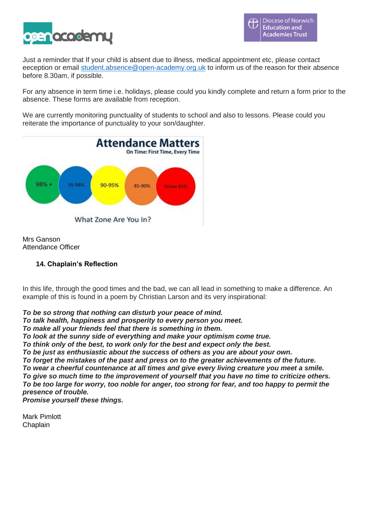

Just a reminder that If your child is absent due to illness, medical appointment etc, please contact eeception or email [student.absence@open-academy.org.uk](mailto:student.absence@open-academy.org.uk) to inform us of the reason for their absence before 8.30am, if possible.

For any absence in term time i.e. holidays, please could you kindly complete and return a form prior to the absence. These forms are available from reception.

We are currently monitoring punctuality of students to school and also to lessons. Please could you reiterate the importance of punctuality to your son/daughter.



Mrs Ganson Attendance Officer

# **14. Chaplain's Reflection**

In this life, through the good times and the bad, we can all lead in something to make a difference. An example of this is found in a poem by Christian Larson and its very inspirational:

*To be so strong that nothing can disturb your peace of mind.*

*To talk health, happiness and prosperity to every person you meet.*

*To make all your friends feel that there is something in them.*

*To look at the sunny side of everything and make your optimism come true.*

*To think only of the best, to work only for the best and expect only the best.*

*To be just as enthusiastic about the success of others as you are about your own.*

*To forget the mistakes of the past and press on to the greater achievements of the future.*

*To wear a cheerful countenance at all times and give every living creature you meet a smile. To give so much time to the improvement of yourself that you have no time to criticize others.* To be too large for worry, too noble for anger, too strong for fear, and too happy to permit the *presence of trouble.*

*Promise yourself these things.*

Mark Pimlott **Chaplain**